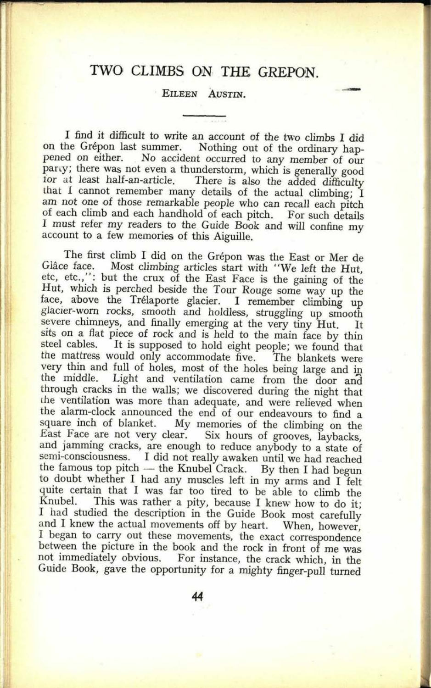## TWO CLIMBS ON THE GREPON.

## EILEEN AUSTIN.

I find it difficult to write an account of the two climbs I did<br>on the Grépon last summer. Nothing out of the ordinary happened on either. No accident occurred to any member of our pany; there was not even a thunderstorm, which is generally good for at least half-an-article. There is also the added difficulty that I cannot remember many details of the actual climbing; I am not one of those remarkable people who can recall each pitch of each climb and each handhold of each pitch. For such details <sup>I</sup>must refer my readers to the Guide Book and will confine my account to a few memories of this Aiguille.

The first climb I did on the Grépon was the East or Mer de Glâce face. Most climbing articles start with "We left the Hut, etc, etc.,": but the crux of the East Face is the gaining of the face, above the Trélaporte glacier. I remember climbing up glacier-worn rocks, smooth and holdless, struggling up smooth severe chimneys, and finally emerging at the very tiny Hut. It severe chimneys, and finally emerging at the very tiny Hut. It<br>sits on a flat piece of rock and is held to the main face by thin<br>steel cables. It is supposed to hold eight people; we found that<br>the mattress would only acco the middle. Light and ventilation came from the door and through cracks in the walls; we discovered during the night that the ventilation was more than adequate, and were relieved when the alarm-clock announced the end of square inch of blanket. My memories of the climbing on the East Face are not very clear. Six hours of grooves, laybacks, and jamming cracks, are enough to reduce anybody to a state of semi-consciousness. I did not really awaken until we had reached the famous top pitch  $-$  the Knubel Crack. By then I had begun to doubt whether I had any muscles left in my arms and I felt quite certain that I was far too tired to be able to climb the Knubel. This was rather <sup>a</sup>pity, because I knew how to do it; I had studied the description in the Guide Book most carefully and I knew the actual movements off by heart. When, however. and I knew the actual movements off by heart. <sup>I</sup>began to carry out these movements, the exact correspondence between the picture in the book and the rock in front of me was not immediately obvious. For instance, the crack which, in the Guide Book, gave the opportunity for a mighty finger-pull turned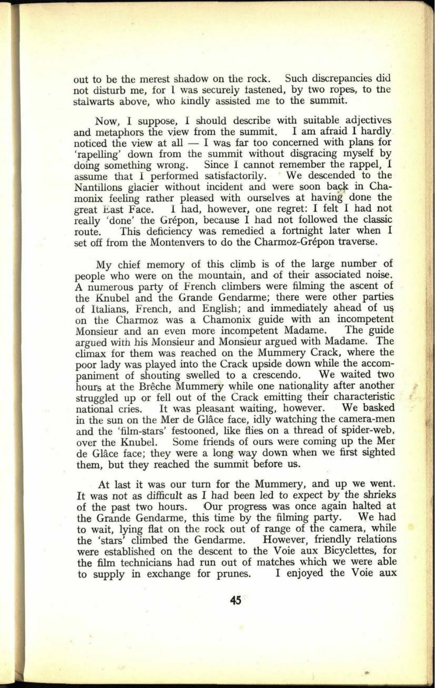out to be the merest shadow on the rock. Such discrepancies did not disturb me, for I was securely fastened, by two ropes, to the stalwarts above, who kindly assisted me to the summit.

Now, I suppose, 1 should describe with suitable adjectives and metaphors the view from the summit. I am afraid I hardly noticed the view at all  $- I$  was far too concerned with plans for 'rapelling' down from the summit without disgracing myself by doing something wrong. Since I cannot remember the rappel, <sup>I</sup> assume that I performed satisfactorily. We descended to the Nantillons glacier without incident and were soon back in Chamonix feeling rather pleased with ourselves at having done the great East Face. I had, however, one regret: I felt I had not really 'done' the Grépon, because I had not followed the classic route. This deficiency was remedied a fortnight later when I set off from the Montenvers to do the Charmoz-Grépon traverse.

My chief memory of this climb is of the large number of people who were on the mountain, and of their associated noise. A numerous party of French climbers were filming the ascent of the Knubel and the Grande Gendarme; there were other parties of Italians, French, and English; and immediately ahead of us on the Charmoz was a Chamonix guide with an incompetent Monsieur and an even more incompetent Madame. The guide argued with his Monsieur and Monsieur argued with Madame. The climax for them was reached on the Mummery Crack, where the poor lady was played into the Crack upside down while the accom-<br>paniment of shouting swelled to a crescendo. We waited two paniment of shouting swelled to a crescendo. hours at the Brêche Mummery while one nationality after another struggled up or fell out of the Crack emitting their characteristic national cries. It was pleasant waiting, however. We basked national cries. It was pleasant waiting, however. in the sun on the Mer de Glâce face, idly watching the camera-men and the 'film-stars' festooned, like flies on <sup>a</sup>thread of spider-web, over the Knubel. Some friends of ours were coming up the Mer de Glâce face; they were a long way down when we first sighted them, but they reached the summit before us.

At last it was our turn for the Mummery, and up we went. It was not as difficult as I had been led to expect by the shrieks of the past two hours. Our progress was once again halted at the Grande Gendarme, this time by the filming party. We had the Grande Gendarme, this time by the filming party. to wait, lying flat on the rock out of range of the camera, while the 'stars' climbed the Gendarme. However, friendly relations the 'stars' climbed the Gendarme. were established on the descent to the Voie aux Bicyclettes, for the film technicians had run out of matches which we were able to supply in exchange for prunes. I enjoyed the Voie aux